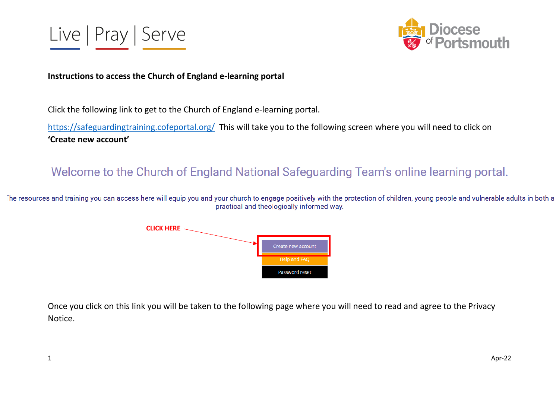



#### **Instructions to access the Church of England e-learning portal**

Click the following link to get to the Church of England e-learning portal.

<https://safeguardingtraining.cofeportal.org/>This will take you to the following screen where you will need to click on **'Create new account'**

# Welcome to the Church of England National Safeguarding Team's online learning portal.

The resources and training you can access here will equip you and your church to engage positively with the protection of children, young people and vulnerable adults in both a practical and theologically informed way.



Once you click on this link you will be taken to the following page where you will need to read and agree to the Privacy Notice.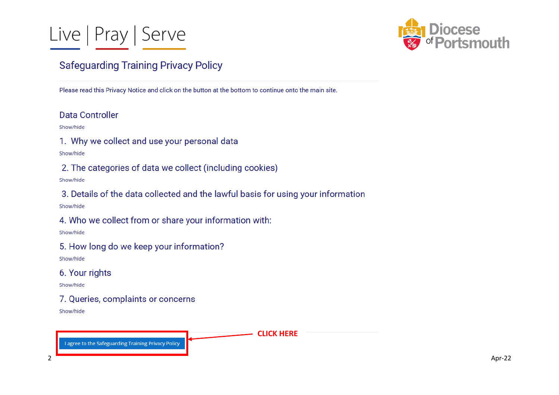



## **Safeguarding Training Privacy Policy**

Please read this Privacy Notice and click on the button at the bottom to continue onto the main site.

## Data Controller

Show/hide

1. Why we collect and use your personal data

Show/hide

2. The categories of data we collect (including cookies)

Show/hide

3. Details of the data collected and the lawful basis for using your information

Show/hide

4. Who we collect from or share your information with:

Show/hide

5. How long do we keep your information?

Show/hide

6. Your rights

Show/hide

7. Queries, complaints or concerns Show/hide

**CLICK HERE**

agree to the Safeguarding Training Privacy Policy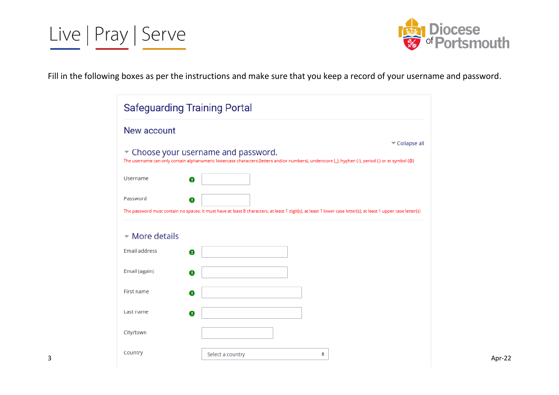



Fill in the following boxes as per the instructions and make sure that you keep a record of your username and password.

| <b>Safeguarding Training Portal</b>                                                                                                                                                                       |
|-----------------------------------------------------------------------------------------------------------------------------------------------------------------------------------------------------------|
| New account                                                                                                                                                                                               |
| Collapse all<br>* Choose your username and password.<br>The username can only contain alphanumeric lowercase characters (letters and/or numbers), underscore (_), hyphen (-), period (.) or at symbol (@) |
| Username<br>$\bf o$                                                                                                                                                                                       |
| Password<br>❶<br>The password must contain no spaces. It must have at least 8 characters, at least 1 digit(s), at least 1 lower case letter(s), at least 1 upper case letter(s)                           |
| $\sim$ More details                                                                                                                                                                                       |
| <b>Email address</b><br>$\bullet$                                                                                                                                                                         |
| Email (again)<br>⊕                                                                                                                                                                                        |
| First name<br>❶                                                                                                                                                                                           |
| Last name<br>ø                                                                                                                                                                                            |
| City/town                                                                                                                                                                                                 |
| Country<br>Select a country<br>÷                                                                                                                                                                          |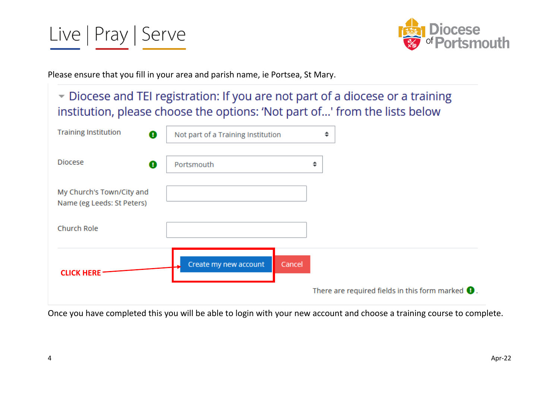



Please ensure that you fill in your area and parish name, ie Portsea, St Mary.

Diocese and TEI registration: If you are not part of a diocese or a training institution, please choose the options: 'Not part of...' from the lists below

| <b>Training Institution</b><br>❶                        | Not part of a Training Institution | ÷                                                                 |
|---------------------------------------------------------|------------------------------------|-------------------------------------------------------------------|
| <b>Diocese</b><br>❶                                     | Portsmouth                         | ÷                                                                 |
| My Church's Town/City and<br>Name (eg Leeds: St Peters) |                                    |                                                                   |
| Church Role                                             |                                    |                                                                   |
| <b>CLICK HERE</b>                                       | Create my new account<br>Cancel    | There are required fields in this form marked $\mathbf{\Theta}$ . |

Once you have completed this you will be able to login with your new account and choose a training course to complete.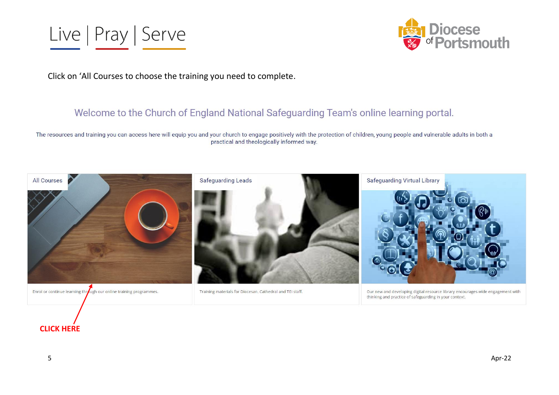



Click on 'All Courses to choose the training you need to complete.

## Welcome to the Church of England National Safeguarding Team's online learning portal.

The resources and training you can access here will equip you and your church to engage positively with the protection of children, young people and vulnerable adults in both a practical and theologically informed way.



### **CLICK HERE**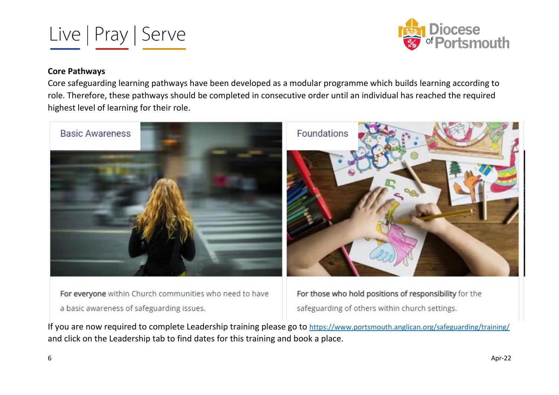



#### **Core Pathways**

Core safeguarding learning pathways have been developed as a modular programme which builds learning according to role. Therefore, these pathways should be completed in consecutive order until an individual has reached the required highest level of learning for their role.



For everyone within Church communities who need to have a basic awareness of safeguarding issues.

For those who hold positions of responsibility for the safeguarding of others within church settings.

If you are now required to complete Leadership training please go to <https://www.portsmouth.anglican.org/safeguarding/training/> and click on the Leadership tab to find dates for this training and book a place.